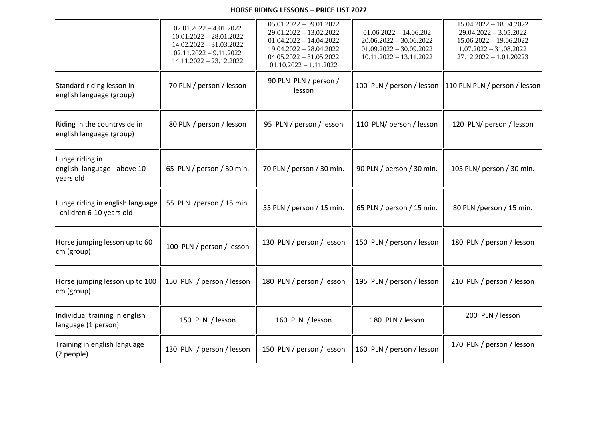## **HORSE RIDING LESSONS – PRICE LIST 2022**

|                                                             | $02.01.2022 - 4.01.2022$<br>$10.01.2022 - 28.01.2022$<br>$14.02.2022 - 31.03.2022$<br>$02.11.2022 - 9.11.2022$<br>$14.11.2022 - 23.12.2022$ | $05.01.2022 - 09.01.2022$<br>29.01.2022 - 13.02.2022<br>$01.04.2022 - 14.04.2022$<br>$19.04.2022 - 28.04.2022$<br>$04.05.2022 - 31.05.2022$<br>$01.10.2022 - 1.11.2022$ | $01.06.2022 - 14.06.202$<br>$20.06.2022 - 30.06.2022$<br>$01.09.2022 - 30.09.2022$<br>$10.11.2022 - 13.11.2022$ | $15.04.2022 - 18.04.2022$<br>$29.04.2022 - 3.05.2022$<br>$15.06.2022 - 19.06.2022$<br>$1.07.2022 - 31.08.2022$<br>$27.12.2022 - 1.01.20223$ |
|-------------------------------------------------------------|---------------------------------------------------------------------------------------------------------------------------------------------|-------------------------------------------------------------------------------------------------------------------------------------------------------------------------|-----------------------------------------------------------------------------------------------------------------|---------------------------------------------------------------------------------------------------------------------------------------------|
| Standard riding lesson in<br>english language (group)       | 70 PLN / person / lesson                                                                                                                    | 90 PLN PLN / person /<br>lesson                                                                                                                                         |                                                                                                                 | 100 PLN / person / lesson    110 PLN PLN / person / lesson                                                                                  |
| Riding in the countryside in<br>english language (group)    | 80 PLN / person / lesson                                                                                                                    | 95 PLN / person / lesson                                                                                                                                                | 110 PLN/ person / lesson                                                                                        | 120 PLN/ person / lesson                                                                                                                    |
| Lunge riding in<br>english language - above 10<br>years old | 65 PLN / person / 30 min.                                                                                                                   | 70 PLN / person / 30 min.                                                                                                                                               | 90 PLN / person / 30 min.                                                                                       | 105 PLN/ person / 30 min.                                                                                                                   |
| Lunge riding in english language<br>children 6-10 years old | 55 PLN /person / 15 min.                                                                                                                    | 55 PLN / person / 15 min.                                                                                                                                               | 65 PLN / person / 15 min.                                                                                       | 80 PLN /person / 15 min.                                                                                                                    |
| Horse jumping lesson up to 60<br>cm (group)                 | 100 PLN / person / lesson                                                                                                                   | 130 PLN / person / lesson                                                                                                                                               | 150 PLN / person / lesson                                                                                       | 180 PLN / person / lesson                                                                                                                   |
| Horse jumping lesson up to 100<br>cm (group)                | 150 PLN / person / lesson                                                                                                                   | 180 PLN / person / lesson                                                                                                                                               | 195 PLN / person / lesson                                                                                       | 210 PLN / person / lesson                                                                                                                   |
| Individual training in english<br>language (1 person)       | 150 PLN / lesson                                                                                                                            | 160 PLN / lesson                                                                                                                                                        | 180 PLN / lesson                                                                                                | 200 PLN / lesson                                                                                                                            |
| Training in english language<br>$(2$ people)                | 130 PLN / person / lesson                                                                                                                   | 150 PLN / person / lesson                                                                                                                                               | 160 PLN / person / lesson                                                                                       | 170 PLN / person / lesson                                                                                                                   |